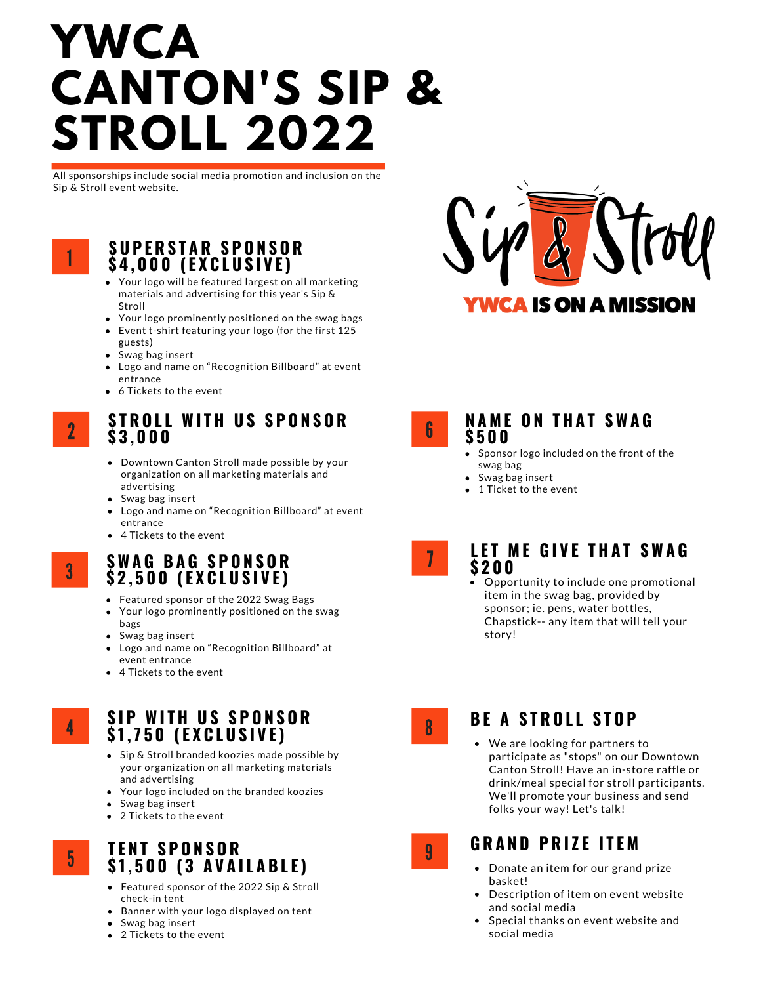# **TRENDS YWCA CANTON'S SIP & STROLL 2022**

All sponsorships include social media promotion and inclusion on the Sip & Stroll event website.



#### **S U P E R S T A R S P O N S O R \$ 4 , 0 0 0 ( E X C L U S I V E )**

- Your logo will be featured largest on all marketing materials and advertising for this year's Sip & Stroll
- Your logo prominently positioned on the swag bags
- Event t-shirt featuring your logo (for the first 125 guests)
- Swag bag insert
- Logo and name on "Recognition Billboard" at event entrance
- 6 Tickets to the event



3

#### **S T R O L L WI T H U S S P O N S O R \$ 3 , 0 0 0**

- Downtown Canton Stroll made possible by your organization on all marketing materials and advertising
- Swag bag insert
- Logo and name on "Recognition Billboard" at event entrance
- 4 Tickets to the event

## **SWA G B A G S P O N S O R \$ 2 , 5 0 0 ( E X C L U S I V E )**

- Featured sponsor of the 2022 Swag Bags
- Your logo prominently positioned on the swag bags
- Swag bag insert
- Logo and name on "Recognition Billboard" at event entrance
- 4 Tickets to the event

4

5

#### **S I P WI T H U S S P O N S O R \$ 1, 7 5 0 ( E X C L U S I V E )**

- Sip & Stroll branded koozies made possible by your organization on all marketing materials and advertising
- Your logo included on the branded koozies
- Swag bag insert
- 2 Tickets to the event

# **T E N T S P O N S O R \$ 1, 5 0 0 ( 3 A V A I L A B L E )**

- Featured sponsor of the 2022 Sip & Stroll check-in tent
- Banner with your logo displayed on tent
- Swag bag insert
- 2 Tickets to the event



6

#### **N A M E O N T H A T SWA G \$ 5 0 0**

- Sponsor logo included on the front of the swag bag
- Swag bag insert
- $\bullet$  1 Ticket to the event



#### **L E T M E G I V E T H A T SWA G \$ 2 0 0**

Opportunity to include one promotional item in the swag bag, provided by sponsor; ie. pens, water bottles, Chapstick-- any item that will tell your story!



9

### **BE A STROLL STOP**

We are looking for partners to participate as "stops" on our Downtown Canton Stroll! Have an in-store raffle or drink/meal special for stroll participants. We'll promote your business and send folks your way! Let's talk!

# **G R A N D P R I Z E I T E M**

- Donate an item for our grand prize basket!
- Description of item on event website and social media
- Special thanks on event website and social media